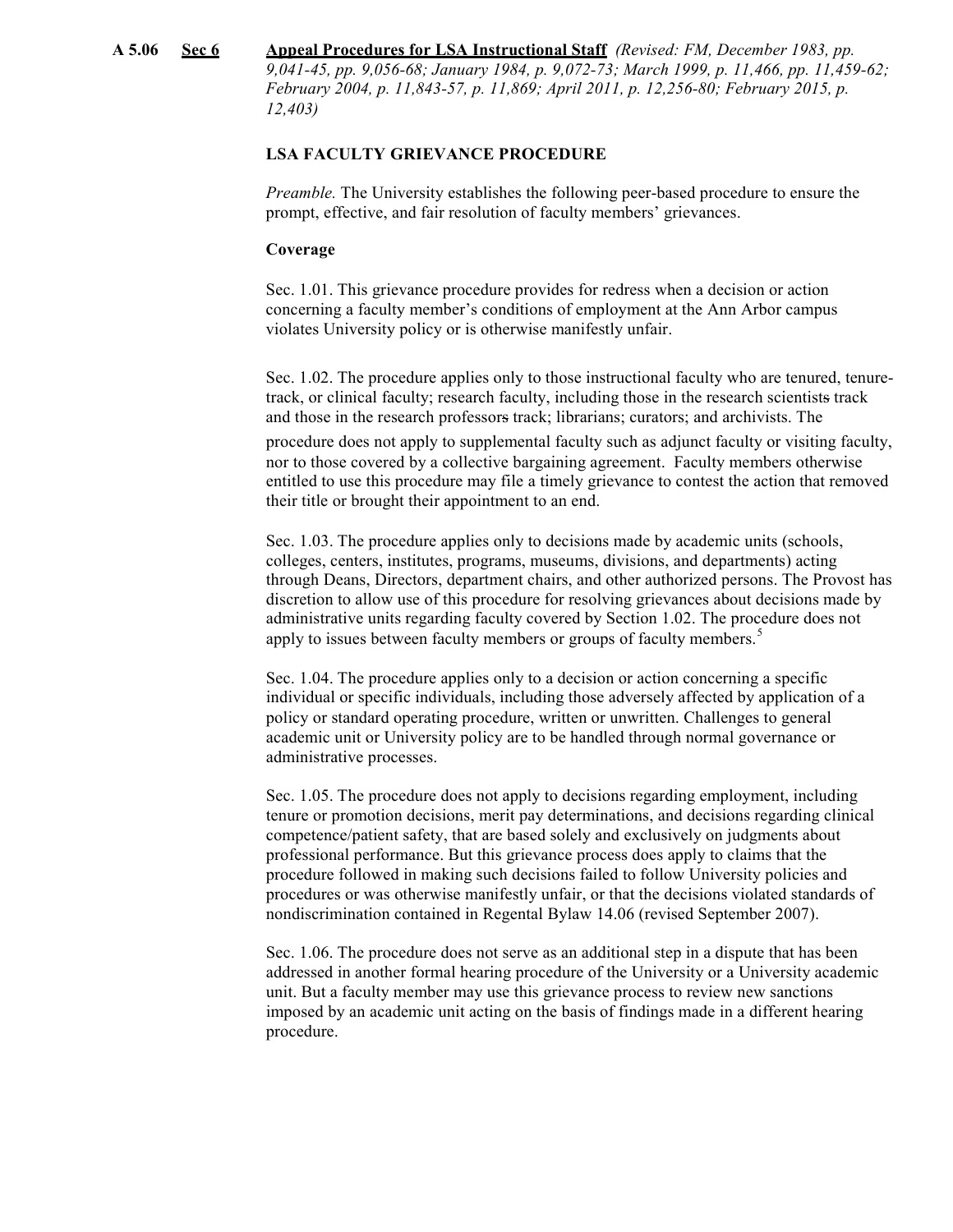**A 5.06 Sec 6 Appeal Procedures for LSA Instructional Staff** *(Revised: FM, December 1983, pp. 9,041-45, pp. 9,056-68; January 1984, p. 9,072-73; March 1999, p. 11,466, pp. 11,459-62; February 2004, p. 11,843-57, p. 11,869; April 2011, p. 12,256-80; February 2015, p. 12,403)*

# **LSA FACULTY GRIEVANCE PROCEDURE**

*Preamble.* The University establishes the following peer-based procedure to ensure the prompt, effective, and fair resolution of faculty members' grievances.

#### **Coverage**

Sec. 1.01. This grievance procedure provides for redress when a decision or action concerning a faculty member's conditions of employment at the Ann Arbor campus violates University policy or is otherwise manifestly unfair.

Sec. 1.02. The procedure applies only to those instructional faculty who are tenured, tenuretrack, or clinical faculty; research faculty, including those in the research scientists track and those in the research professors track; librarians; curators; and archivists. The

procedure does not apply to supplemental faculty such as adjunct faculty or visiting faculty, nor to those covered by a collective bargaining agreement. Faculty members otherwise entitled to use this procedure may file a timely grievance to contest the action that removed their title or brought their appointment to an end.

Sec. 1.03. The procedure applies only to decisions made by academic units (schools, colleges, centers, institutes, programs, museums, divisions, and departments) acting through Deans, Directors, department chairs, and other authorized persons. The Provost has discretion to allow use of this procedure for resolving grievances about decisions made by administrative units regarding faculty covered by Section 1.02. The procedure does not apply to issues between faculty members or groups of faculty members.<sup>5</sup>

Sec. 1.04. The procedure applies only to a decision or action concerning a specific individual or specific individuals, including those adversely affected by application of a policy or standard operating procedure, written or unwritten. Challenges to general academic unit or University policy are to be handled through normal governance or administrative processes.

Sec. 1.05. The procedure does not apply to decisions regarding employment, including tenure or promotion decisions, merit pay determinations, and decisions regarding clinical competence/patient safety, that are based solely and exclusively on judgments about professional performance. But this grievance process does apply to claims that the procedure followed in making such decisions failed to follow University policies and procedures or was otherwise manifestly unfair, or that the decisions violated standards of nondiscrimination contained in Regental Bylaw 14.06 (revised September 2007).

Sec. 1.06. The procedure does not serve as an additional step in a dispute that has been addressed in another formal hearing procedure of the University or a University academic unit. But a faculty member may use this grievance process to review new sanctions imposed by an academic unit acting on the basis of findings made in a different hearing procedure.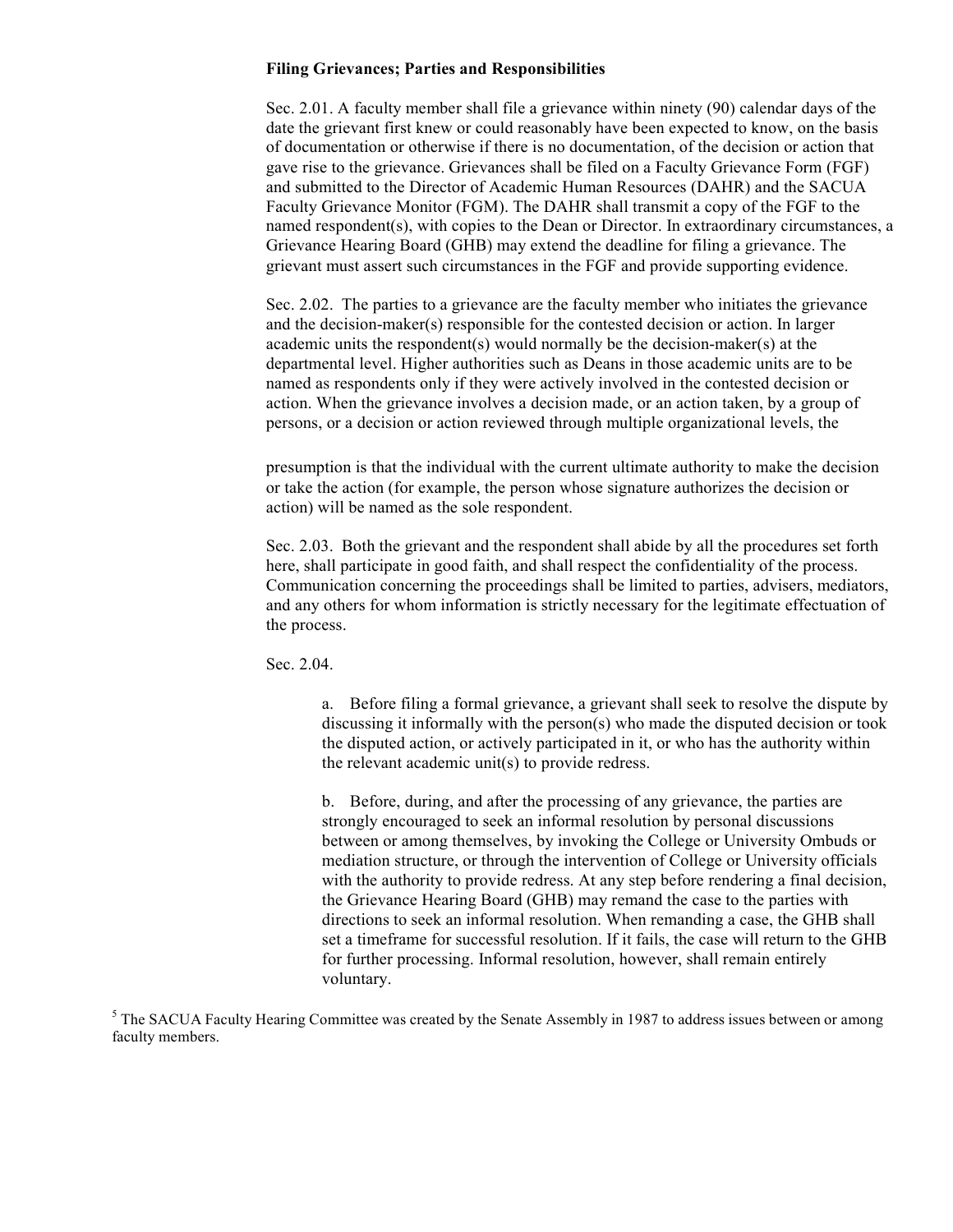# **Filing Grievances; Parties and Responsibilities**

Sec. 2.01. A faculty member shall file a grievance within ninety (90) calendar days of the date the grievant first knew or could reasonably have been expected to know, on the basis of documentation or otherwise if there is no documentation, of the decision or action that gave rise to the grievance. Grievances shall be filed on a Faculty Grievance Form (FGF) and submitted to the Director of Academic Human Resources (DAHR) and the SACUA Faculty Grievance Monitor (FGM). The DAHR shall transmit a copy of the FGF to the named respondent(s), with copies to the Dean or Director. In extraordinary circumstances, a Grievance Hearing Board (GHB) may extend the deadline for filing a grievance. The grievant must assert such circumstances in the FGF and provide supporting evidence.

Sec. 2.02. The parties to a grievance are the faculty member who initiates the grievance and the decision-maker(s) responsible for the contested decision or action. In larger academic units the respondent(s) would normally be the decision-maker(s) at the departmental level. Higher authorities such as Deans in those academic units are to be named as respondents only if they were actively involved in the contested decision or action. When the grievance involves a decision made, or an action taken, by a group of persons, or a decision or action reviewed through multiple organizational levels, the

presumption is that the individual with the current ultimate authority to make the decision or take the action (for example, the person whose signature authorizes the decision or action) will be named as the sole respondent.

Sec. 2.03. Both the grievant and the respondent shall abide by all the procedures set forth here, shall participate in good faith, and shall respect the confidentiality of the process. Communication concerning the proceedings shall be limited to parties, advisers, mediators, and any others for whom information is strictly necessary for the legitimate effectuation of the process.

Sec. 2.04.

a. Before filing a formal grievance, a grievant shall seek to resolve the dispute by discussing it informally with the person(s) who made the disputed decision or took the disputed action, or actively participated in it, or who has the authority within the relevant academic unit(s) to provide redress.

b. Before, during, and after the processing of any grievance, the parties are strongly encouraged to seek an informal resolution by personal discussions between or among themselves, by invoking the College or University Ombuds or mediation structure, or through the intervention of College or University officials with the authority to provide redress. At any step before rendering a final decision, the Grievance Hearing Board (GHB) may remand the case to the parties with directions to seek an informal resolution. When remanding a case, the GHB shall set a timeframe for successful resolution. If it fails, the case will return to the GHB for further processing. Informal resolution, however, shall remain entirely voluntary.

<sup>&</sup>lt;sup>5</sup> The SACUA Faculty Hearing Committee was created by the Senate Assembly in 1987 to address issues between or among faculty members.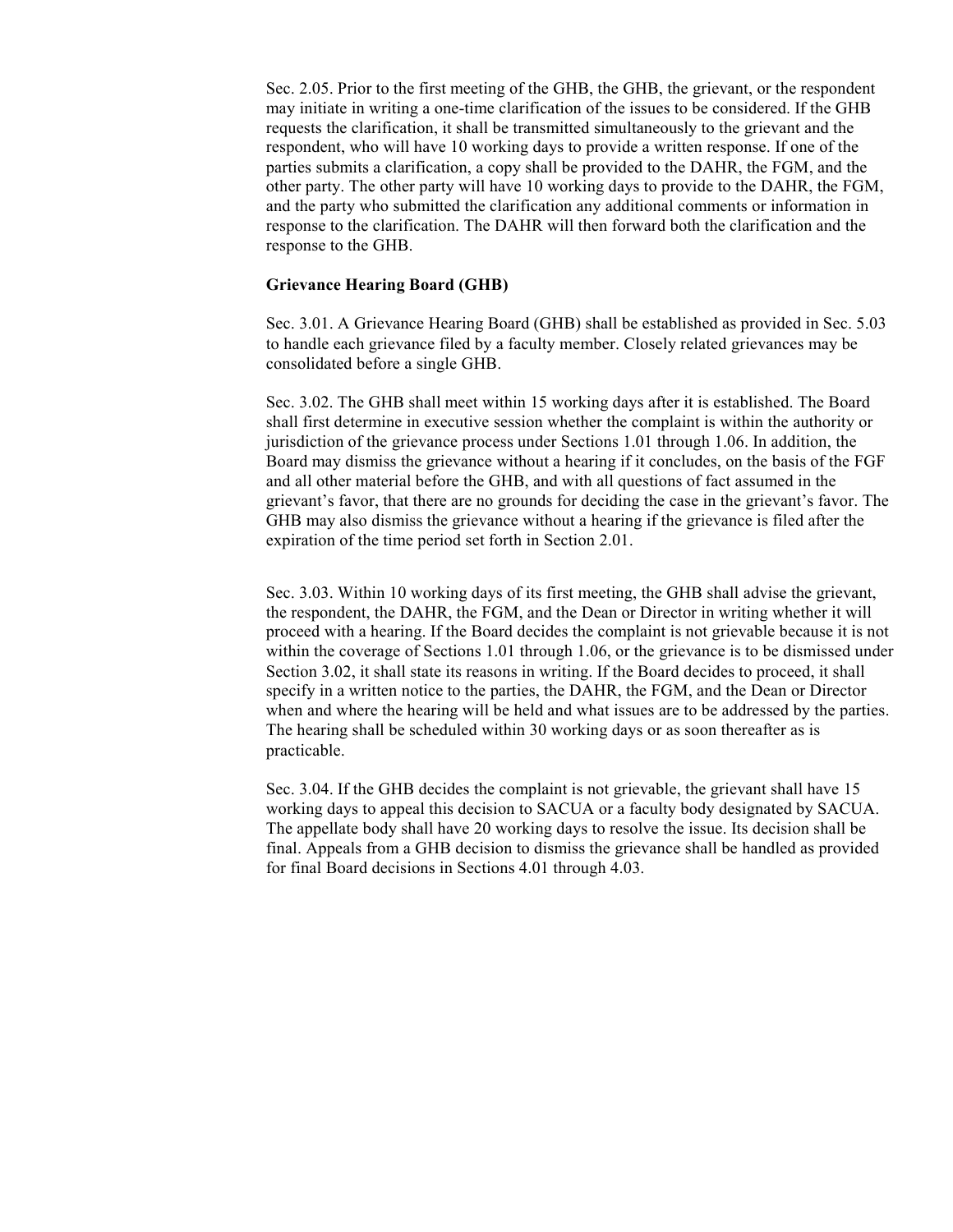Sec. 2.05. Prior to the first meeting of the GHB, the GHB, the grievant, or the respondent may initiate in writing a one-time clarification of the issues to be considered. If the GHB requests the clarification, it shall be transmitted simultaneously to the grievant and the respondent, who will have 10 working days to provide a written response. If one of the parties submits a clarification, a copy shall be provided to the DAHR, the FGM, and the other party. The other party will have 10 working days to provide to the DAHR, the FGM, and the party who submitted the clarification any additional comments or information in response to the clarification. The DAHR will then forward both the clarification and the response to the GHB.

### **Grievance Hearing Board (GHB)**

Sec. 3.01. A Grievance Hearing Board (GHB) shall be established as provided in Sec. 5.03 to handle each grievance filed by a faculty member. Closely related grievances may be consolidated before a single GHB.

Sec. 3.02. The GHB shall meet within 15 working days after it is established. The Board shall first determine in executive session whether the complaint is within the authority or jurisdiction of the grievance process under Sections 1.01 through 1.06. In addition, the Board may dismiss the grievance without a hearing if it concludes, on the basis of the FGF and all other material before the GHB, and with all questions of fact assumed in the grievant's favor, that there are no grounds for deciding the case in the grievant's favor. The GHB may also dismiss the grievance without a hearing if the grievance is filed after the expiration of the time period set forth in Section 2.01.

Sec. 3.03. Within 10 working days of its first meeting, the GHB shall advise the grievant, the respondent, the DAHR, the FGM, and the Dean or Director in writing whether it will proceed with a hearing. If the Board decides the complaint is not grievable because it is not within the coverage of Sections 1.01 through 1.06, or the grievance is to be dismissed under Section 3.02, it shall state its reasons in writing. If the Board decides to proceed, it shall specify in a written notice to the parties, the DAHR, the FGM, and the Dean or Director when and where the hearing will be held and what issues are to be addressed by the parties. The hearing shall be scheduled within 30 working days or as soon thereafter as is practicable.

Sec. 3.04. If the GHB decides the complaint is not grievable, the grievant shall have 15 working days to appeal this decision to SACUA or a faculty body designated by SACUA. The appellate body shall have 20 working days to resolve the issue. Its decision shall be final. Appeals from a GHB decision to dismiss the grievance shall be handled as provided for final Board decisions in Sections 4.01 through 4.03.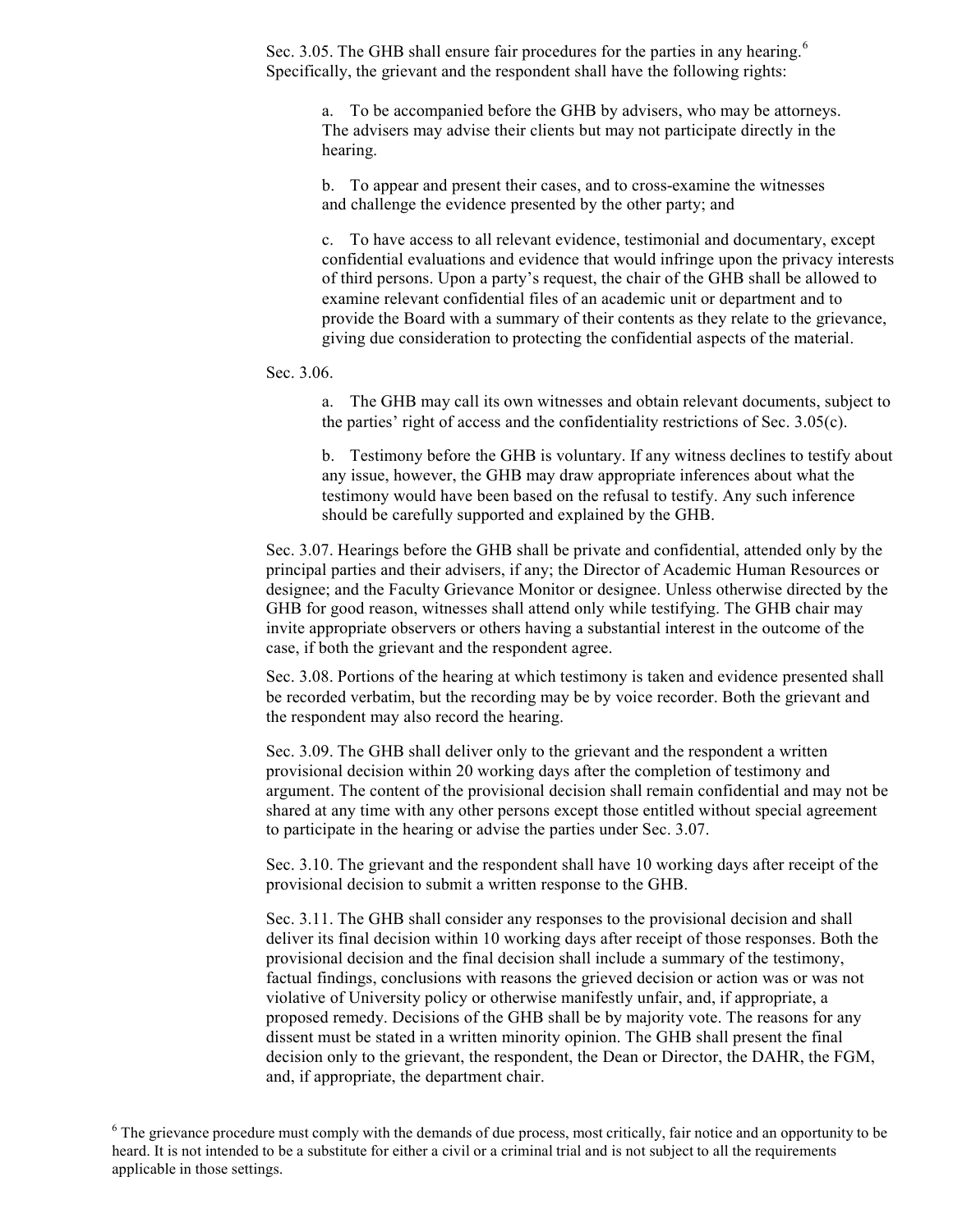Sec. 3.05. The GHB shall ensure fair procedures for the parties in any hearing.<sup>6</sup> Specifically, the grievant and the respondent shall have the following rights:

a. To be accompanied before the GHB by advisers, who may be attorneys. The advisers may advise their clients but may not participate directly in the hearing.

b. To appear and present their cases, and to cross-examine the witnesses and challenge the evidence presented by the other party; and

c. To have access to all relevant evidence, testimonial and documentary, except confidential evaluations and evidence that would infringe upon the privacy interests of third persons. Upon a party's request, the chair of the GHB shall be allowed to examine relevant confidential files of an academic unit or department and to provide the Board with a summary of their contents as they relate to the grievance, giving due consideration to protecting the confidential aspects of the material.

Sec. 3.06.

a. The GHB may call its own witnesses and obtain relevant documents, subject to the parties' right of access and the confidentiality restrictions of Sec. 3.05(c).

b. Testimony before the GHB is voluntary. If any witness declines to testify about any issue, however, the GHB may draw appropriate inferences about what the testimony would have been based on the refusal to testify. Any such inference should be carefully supported and explained by the GHB.

Sec. 3.07. Hearings before the GHB shall be private and confidential, attended only by the principal parties and their advisers, if any; the Director of Academic Human Resources or designee; and the Faculty Grievance Monitor or designee. Unless otherwise directed by the GHB for good reason, witnesses shall attend only while testifying. The GHB chair may invite appropriate observers or others having a substantial interest in the outcome of the case, if both the grievant and the respondent agree.

Sec. 3.08. Portions of the hearing at which testimony is taken and evidence presented shall be recorded verbatim, but the recording may be by voice recorder. Both the grievant and the respondent may also record the hearing.

Sec. 3.09. The GHB shall deliver only to the grievant and the respondent a written provisional decision within 20 working days after the completion of testimony and argument. The content of the provisional decision shall remain confidential and may not be shared at any time with any other persons except those entitled without special agreement to participate in the hearing or advise the parties under Sec. 3.07.

Sec. 3.10. The grievant and the respondent shall have 10 working days after receipt of the provisional decision to submit a written response to the GHB.

Sec. 3.11. The GHB shall consider any responses to the provisional decision and shall deliver its final decision within 10 working days after receipt of those responses. Both the provisional decision and the final decision shall include a summary of the testimony, factual findings, conclusions with reasons the grieved decision or action was or was not violative of University policy or otherwise manifestly unfair, and, if appropriate, a proposed remedy. Decisions of the GHB shall be by majority vote. The reasons for any dissent must be stated in a written minority opinion. The GHB shall present the final decision only to the grievant, the respondent, the Dean or Director, the DAHR, the FGM, and, if appropriate, the department chair.

 $6$  The grievance procedure must comply with the demands of due process, most critically, fair notice and an opportunity to be heard. It is not intended to be a substitute for either a civil or a criminal trial and is not subject to all the requirements applicable in those settings.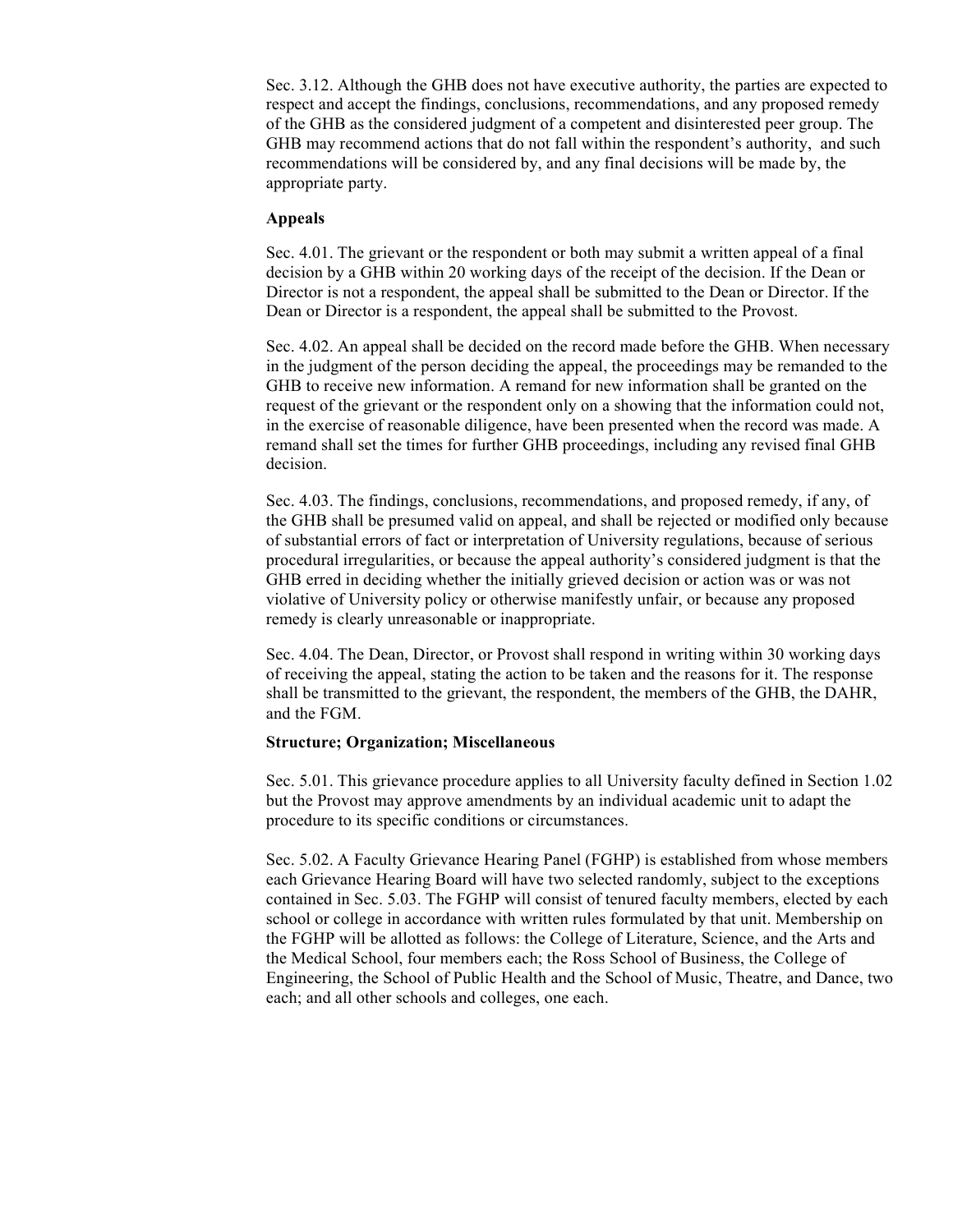Sec. 3.12. Although the GHB does not have executive authority, the parties are expected to respect and accept the findings, conclusions, recommendations, and any proposed remedy of the GHB as the considered judgment of a competent and disinterested peer group. The GHB may recommend actions that do not fall within the respondent's authority, and such recommendations will be considered by, and any final decisions will be made by, the appropriate party.

### **Appeals**

Sec. 4.01. The grievant or the respondent or both may submit a written appeal of a final decision by a GHB within 20 working days of the receipt of the decision. If the Dean or Director is not a respondent, the appeal shall be submitted to the Dean or Director. If the Dean or Director is a respondent, the appeal shall be submitted to the Provost.

Sec. 4.02. An appeal shall be decided on the record made before the GHB. When necessary in the judgment of the person deciding the appeal, the proceedings may be remanded to the GHB to receive new information. A remand for new information shall be granted on the request of the grievant or the respondent only on a showing that the information could not, in the exercise of reasonable diligence, have been presented when the record was made. A remand shall set the times for further GHB proceedings, including any revised final GHB decision.

Sec. 4.03. The findings, conclusions, recommendations, and proposed remedy, if any, of the GHB shall be presumed valid on appeal, and shall be rejected or modified only because of substantial errors of fact or interpretation of University regulations, because of serious procedural irregularities, or because the appeal authority's considered judgment is that the GHB erred in deciding whether the initially grieved decision or action was or was not violative of University policy or otherwise manifestly unfair, or because any proposed remedy is clearly unreasonable or inappropriate.

Sec. 4.04. The Dean, Director, or Provost shall respond in writing within 30 working days of receiving the appeal, stating the action to be taken and the reasons for it. The response shall be transmitted to the grievant, the respondent, the members of the GHB, the DAHR, and the FGM.

### **Structure; Organization; Miscellaneous**

Sec. 5.01. This grievance procedure applies to all University faculty defined in Section 1.02 but the Provost may approve amendments by an individual academic unit to adapt the procedure to its specific conditions or circumstances.

Sec. 5.02. A Faculty Grievance Hearing Panel (FGHP) is established from whose members each Grievance Hearing Board will have two selected randomly, subject to the exceptions contained in Sec. 5.03. The FGHP will consist of tenured faculty members, elected by each school or college in accordance with written rules formulated by that unit. Membership on the FGHP will be allotted as follows: the College of Literature, Science, and the Arts and the Medical School, four members each; the Ross School of Business, the College of Engineering, the School of Public Health and the School of Music, Theatre, and Dance, two each; and all other schools and colleges, one each.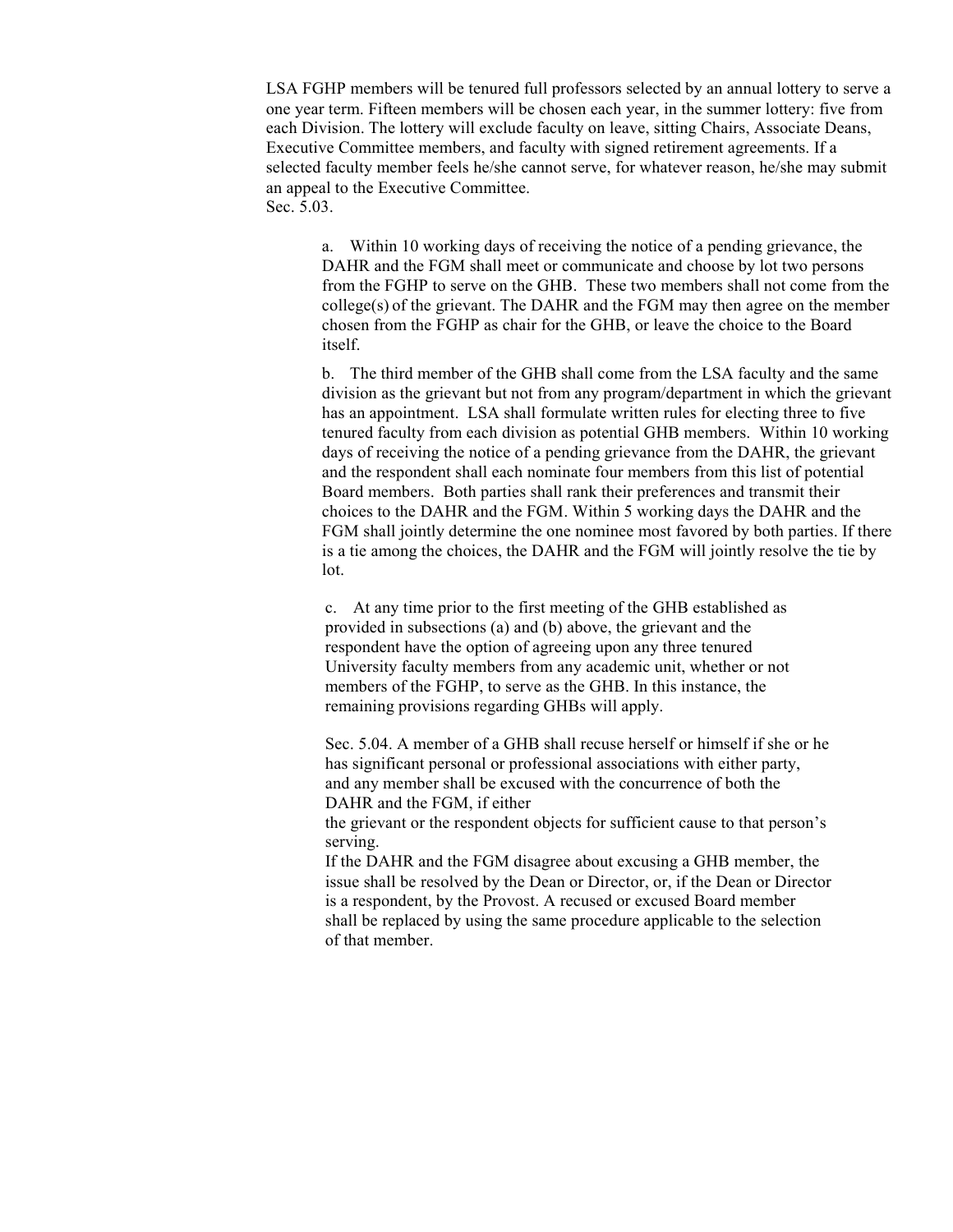LSA FGHP members will be tenured full professors selected by an annual lottery to serve a one year term. Fifteen members will be chosen each year, in the summer lottery: five from each Division. The lottery will exclude faculty on leave, sitting Chairs, Associate Deans, Executive Committee members, and faculty with signed retirement agreements. If a selected faculty member feels he/she cannot serve, for whatever reason, he/she may submit an appeal to the Executive Committee. Sec. 5.03.

a. Within 10 working days of receiving the notice of a pending grievance, the DAHR and the FGM shall meet or communicate and choose by lot two persons from the FGHP to serve on the GHB. These two members shall not come from the  $\text{college(s)}$  of the grievant. The DAHR and the FGM may then agree on the member chosen from the FGHP as chair for the GHB, or leave the choice to the Board itself.

b. The third member of the GHB shall come from the LSA faculty and the same division as the grievant but not from any program/department in which the grievant has an appointment. LSA shall formulate written rules for electing three to five tenured faculty from each division as potential GHB members. Within 10 working days of receiving the notice of a pending grievance from the DAHR, the grievant and the respondent shall each nominate four members from this list of potential Board members. Both parties shall rank their preferences and transmit their choices to the DAHR and the FGM. Within 5 working days the DAHR and the FGM shall jointly determine the one nominee most favored by both parties. If there is a tie among the choices, the DAHR and the FGM will jointly resolve the tie by lot.

c. At any time prior to the first meeting of the GHB established as provided in subsections (a) and (b) above, the grievant and the respondent have the option of agreeing upon any three tenured University faculty members from any academic unit, whether or not members of the FGHP, to serve as the GHB. In this instance, the remaining provisions regarding GHBs will apply.

Sec. 5.04. A member of a GHB shall recuse herself or himself if she or he has significant personal or professional associations with either party, and any member shall be excused with the concurrence of both the DAHR and the FGM, if either

the grievant or the respondent objects for sufficient cause to that person's serving.

If the DAHR and the FGM disagree about excusing a GHB member, the issue shall be resolved by the Dean or Director, or, if the Dean or Director is a respondent, by the Provost. A recused or excused Board member shall be replaced by using the same procedure applicable to the selection of that member.